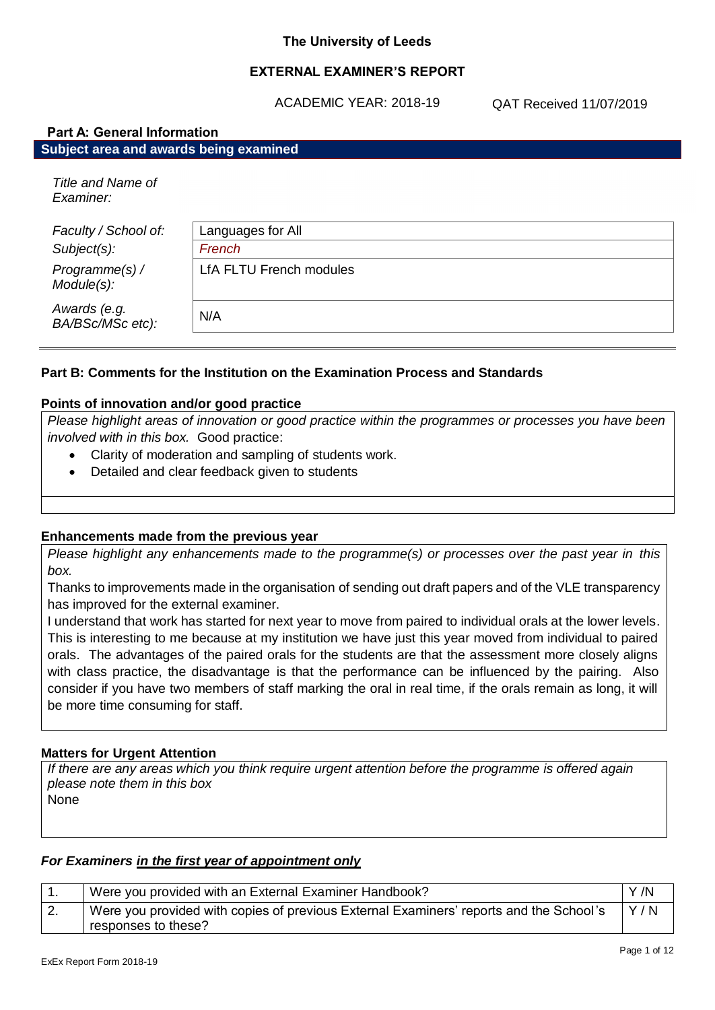#### **The University of Leeds**

# **EXTERNAL EXAMINER'S REPORT**

ACADEMIC YEAR: 2018-19

QAT Received 11/07/2019

| <b>Part A: General Information</b>     |                                |  |
|----------------------------------------|--------------------------------|--|
| Subject area and awards being examined |                                |  |
| Title and Name of<br>Examiner:         |                                |  |
| Faculty / School of:                   | Languages for All              |  |
| Subject(s):                            | French                         |  |
| Programme(s) /<br>Module(s):           | <b>LfA FLTU French modules</b> |  |
| Awards (e.g.<br>BA/BSc/MSc etc):       | N/A                            |  |

#### **Part B: Comments for the Institution on the Examination Process and Standards**

#### **Points of innovation and/or good practice**

*Please highlight areas of innovation or good practice within the programmes or processes you have been involved with in this box.* Good practice:

- Clarity of moderation and sampling of students work.
- Detailed and clear feedback given to students

#### **Enhancements made from the previous year**

*Please highlight any enhancements made to the programme(s) or processes over the past year in this box.*

Thanks to improvements made in the organisation of sending out draft papers and of the VLE transparency has improved for the external examiner.

I understand that work has started for next year to move from paired to individual orals at the lower levels. This is interesting to me because at my institution we have just this year moved from individual to paired orals. The advantages of the paired orals for the students are that the assessment more closely aligns with class practice, the disadvantage is that the performance can be influenced by the pairing. Also consider if you have two members of staff marking the oral in real time, if the orals remain as long, it will be more time consuming for staff.

#### **Matters for Urgent Attention**

*If there are any areas which you think require urgent attention before the programme is offered again please note them in this box* None

# *For Examiners in the first year of appointment only*

|          | Were you provided with an External Examiner Handbook?                                  | Y/N |
|----------|----------------------------------------------------------------------------------------|-----|
| <u>.</u> | Were you provided with copies of previous External Examiners' reports and the School's | Y/N |
|          | responses to these?                                                                    |     |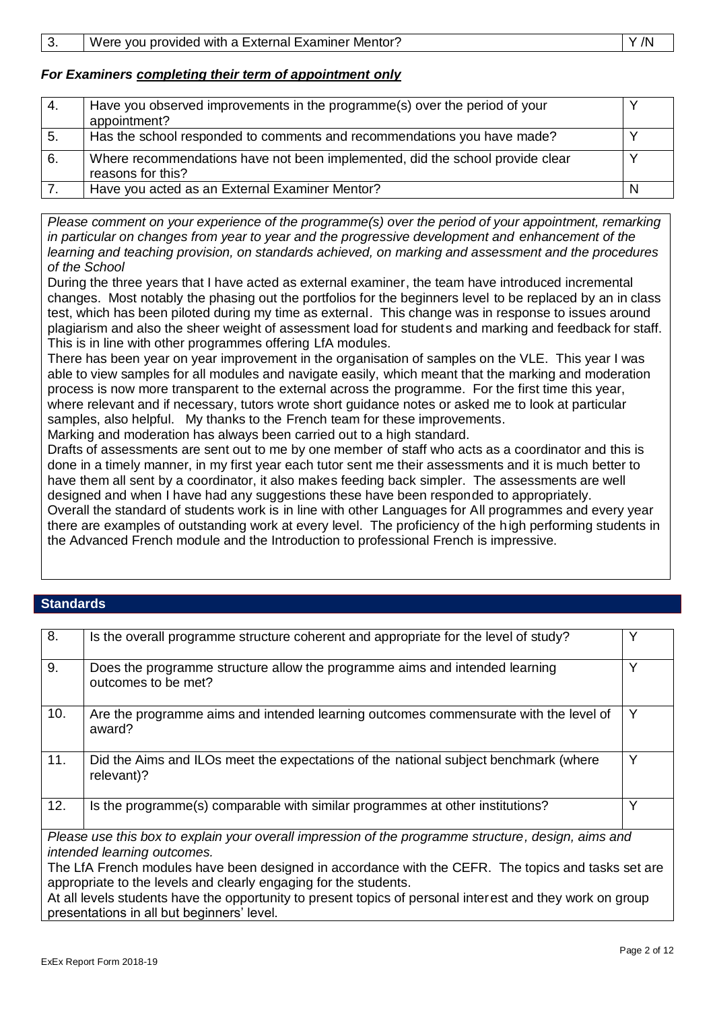# *For Examiners completing their term of appointment only*

| 4.  | Have you observed improvements in the programme(s) over the period of your<br>appointment?         |  |
|-----|----------------------------------------------------------------------------------------------------|--|
| -5. | Has the school responded to comments and recommendations you have made?                            |  |
| 6.  | Where recommendations have not been implemented, did the school provide clear<br>reasons for this? |  |
|     | Have you acted as an External Examiner Mentor?                                                     |  |

*Please comment on your experience of the programme(s) over the period of your appointment, remarking in particular on changes from year to year and the progressive development and enhancement of the learning and teaching provision, on standards achieved, on marking and assessment and the procedures of the School*

During the three years that I have acted as external examiner, the team have introduced incremental changes. Most notably the phasing out the portfolios for the beginners level to be replaced by an in class test, which has been piloted during my time as external. This change was in response to issues around plagiarism and also the sheer weight of assessment load for students and marking and feedback for staff. This is in line with other programmes offering LfA modules.

There has been year on year improvement in the organisation of samples on the VLE. This year I was able to view samples for all modules and navigate easily, which meant that the marking and moderation process is now more transparent to the external across the programme. For the first time this year, where relevant and if necessary, tutors wrote short guidance notes or asked me to look at particular samples, also helpful. My thanks to the French team for these improvements. Marking and moderation has always been carried out to a high standard.

Drafts of assessments are sent out to me by one member of staff who acts as a coordinator and this is done in a timely manner, in my first year each tutor sent me their assessments and it is much better to have them all sent by a coordinator, it also makes feeding back simpler. The assessments are well

designed and when I have had any suggestions these have been responded to appropriately. Overall the standard of students work is in line with other Languages for All programmes and every year there are examples of outstanding work at every level. The proficiency of the high performing students in the Advanced French module and the Introduction to professional French is impressive.

# **Standards**

| 8.                                                                                                                                                                      | Is the overall programme structure coherent and appropriate for the level of study?                 |   |
|-------------------------------------------------------------------------------------------------------------------------------------------------------------------------|-----------------------------------------------------------------------------------------------------|---|
| 9.                                                                                                                                                                      | Does the programme structure allow the programme aims and intended learning<br>outcomes to be met?  | Y |
| 10.                                                                                                                                                                     | Are the programme aims and intended learning outcomes commensurate with the level of<br>award?      | Y |
| 11.                                                                                                                                                                     | Did the Aims and ILOs meet the expectations of the national subject benchmark (where<br>relevant)?  | Y |
| 12.                                                                                                                                                                     | Is the programme(s) comparable with similar programmes at other institutions?                       | Y |
|                                                                                                                                                                         | Please use this box to explain your overall impression of the programme structure, design, aims and |   |
|                                                                                                                                                                         | intended learning outcomes.                                                                         |   |
| The LfA French modules have been designed in accordance with the CEFR. The topics and tasks set are<br>appropriate to the levels and clearly engaging for the students. |                                                                                                     |   |
| At all levels students have the opportunity to present topics of personal interest and they work on group<br>presentations in all but beginners' level.                 |                                                                                                     |   |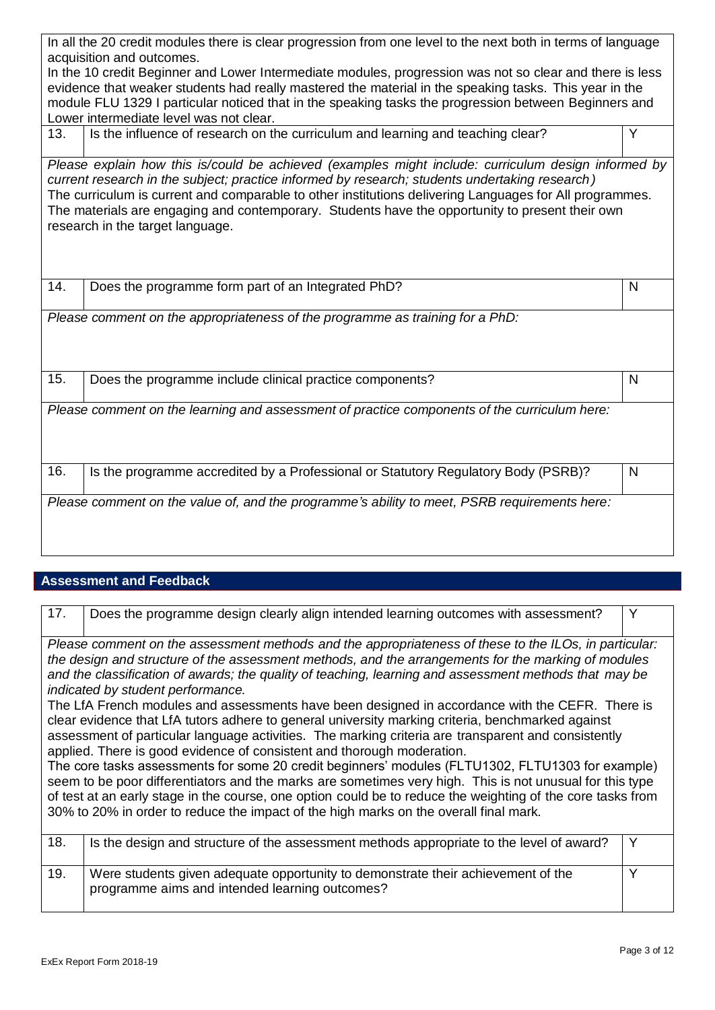|                                                                                                       | In all the 20 credit modules there is clear progression from one level to the next both in terms of language                                                                                                                                                                                                                                                                                                                                            |              |
|-------------------------------------------------------------------------------------------------------|---------------------------------------------------------------------------------------------------------------------------------------------------------------------------------------------------------------------------------------------------------------------------------------------------------------------------------------------------------------------------------------------------------------------------------------------------------|--------------|
|                                                                                                       | acquisition and outcomes.<br>In the 10 credit Beginner and Lower Intermediate modules, progression was not so clear and there is less                                                                                                                                                                                                                                                                                                                   |              |
|                                                                                                       | evidence that weaker students had really mastered the material in the speaking tasks. This year in the                                                                                                                                                                                                                                                                                                                                                  |              |
| module FLU 1329 I particular noticed that in the speaking tasks the progression between Beginners and |                                                                                                                                                                                                                                                                                                                                                                                                                                                         |              |
|                                                                                                       | Lower intermediate level was not clear.                                                                                                                                                                                                                                                                                                                                                                                                                 |              |
| 13.                                                                                                   | Is the influence of research on the curriculum and learning and teaching clear?                                                                                                                                                                                                                                                                                                                                                                         | Y            |
|                                                                                                       | Please explain how this is/could be achieved (examples might include: curriculum design informed by<br>current research in the subject; practice informed by research; students undertaking research)<br>The curriculum is current and comparable to other institutions delivering Languages for All programmes.<br>The materials are engaging and contemporary. Students have the opportunity to present their own<br>research in the target language. |              |
| 14.                                                                                                   | Does the programme form part of an Integrated PhD?                                                                                                                                                                                                                                                                                                                                                                                                      | $\mathsf{N}$ |
|                                                                                                       | Please comment on the appropriateness of the programme as training for a PhD:                                                                                                                                                                                                                                                                                                                                                                           |              |
| 15.                                                                                                   | Does the programme include clinical practice components?                                                                                                                                                                                                                                                                                                                                                                                                | N            |
|                                                                                                       | Please comment on the learning and assessment of practice components of the curriculum here:                                                                                                                                                                                                                                                                                                                                                            |              |
| 16.                                                                                                   | Is the programme accredited by a Professional or Statutory Regulatory Body (PSRB)?                                                                                                                                                                                                                                                                                                                                                                      | N            |
|                                                                                                       | Please comment on the value of, and the programme's ability to meet, PSRB requirements here:                                                                                                                                                                                                                                                                                                                                                            |              |

# **Assessment and Feedback**

| 17. | Does the programme design clearly align intended learning outcomes with assessment?                                                                                                                                                                                                                                                                                                                                                                                                                                                                                                                                                                                                                                                                                                                                                                                                                                                                                                                                                                                                                                                                                           | Y |
|-----|-------------------------------------------------------------------------------------------------------------------------------------------------------------------------------------------------------------------------------------------------------------------------------------------------------------------------------------------------------------------------------------------------------------------------------------------------------------------------------------------------------------------------------------------------------------------------------------------------------------------------------------------------------------------------------------------------------------------------------------------------------------------------------------------------------------------------------------------------------------------------------------------------------------------------------------------------------------------------------------------------------------------------------------------------------------------------------------------------------------------------------------------------------------------------------|---|
|     | Please comment on the assessment methods and the appropriateness of these to the ILOs, in particular:<br>the design and structure of the assessment methods, and the arrangements for the marking of modules<br>and the classification of awards; the quality of teaching, learning and assessment methods that may be<br>indicated by student performance.<br>The LfA French modules and assessments have been designed in accordance with the CEFR. There is<br>clear evidence that LfA tutors adhere to general university marking criteria, benchmarked against<br>assessment of particular language activities. The marking criteria are transparent and consistently<br>applied. There is good evidence of consistent and thorough moderation.<br>The core tasks assessments for some 20 credit beginners' modules (FLTU1302, FLTU1303 for example)<br>seem to be poor differentiators and the marks are sometimes very high. This is not unusual for this type<br>of test at an early stage in the course, one option could be to reduce the weighting of the core tasks from<br>30% to 20% in order to reduce the impact of the high marks on the overall final mark. |   |
| 18. | Is the design and structure of the assessment methods appropriate to the level of award?                                                                                                                                                                                                                                                                                                                                                                                                                                                                                                                                                                                                                                                                                                                                                                                                                                                                                                                                                                                                                                                                                      | Y |
| 19. | Were students given adequate opportunity to demonstrate their achievement of the<br>programme aims and intended learning outcomes?                                                                                                                                                                                                                                                                                                                                                                                                                                                                                                                                                                                                                                                                                                                                                                                                                                                                                                                                                                                                                                            | Υ |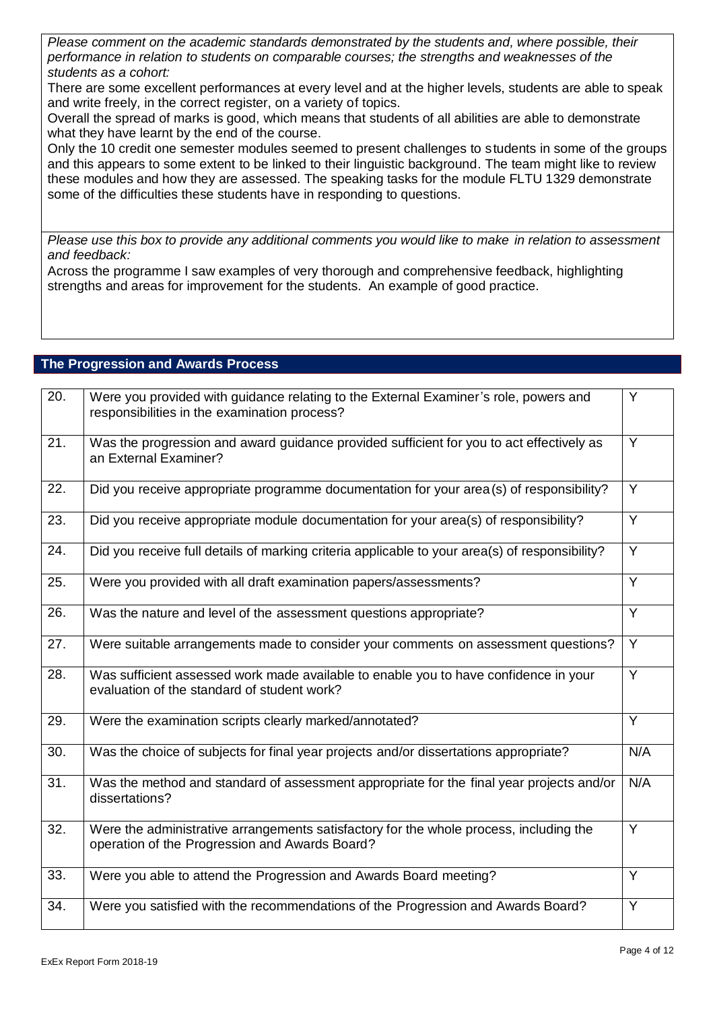*Please comment on the academic standards demonstrated by the students and, where possible, their performance in relation to students on comparable courses; the strengths and weaknesses of the students as a cohort:*

There are some excellent performances at every level and at the higher levels, students are able to speak and write freely, in the correct register, on a variety of topics.

Overall the spread of marks is good, which means that students of all abilities are able to demonstrate what they have learnt by the end of the course.

Only the 10 credit one semester modules seemed to present challenges to students in some of the groups and this appears to some extent to be linked to their linguistic background. The team might like to review these modules and how they are assessed. The speaking tasks for the module FLTU 1329 demonstrate some of the difficulties these students have in responding to questions.

*Please use this box to provide any additional comments you would like to make in relation to assessment and feedback:*

Across the programme I saw examples of very thorough and comprehensive feedback, highlighting strengths and areas for improvement for the students. An example of good practice.

# **The Progression and Awards Process**

| 20. | Were you provided with guidance relating to the External Examiner's role, powers and<br>responsibilities in the examination process?     | Y              |
|-----|------------------------------------------------------------------------------------------------------------------------------------------|----------------|
| 21. | Was the progression and award guidance provided sufficient for you to act effectively as<br>an External Examiner?                        | Y              |
| 22. | Did you receive appropriate programme documentation for your area (s) of responsibility?                                                 | $\overline{Y}$ |
| 23. | Did you receive appropriate module documentation for your area(s) of responsibility?                                                     | Y              |
| 24. | Did you receive full details of marking criteria applicable to your area(s) of responsibility?                                           | Y              |
| 25. | Were you provided with all draft examination papers/assessments?                                                                         | Y              |
| 26. | Was the nature and level of the assessment questions appropriate?                                                                        | $\overline{Y}$ |
| 27. | Were suitable arrangements made to consider your comments on assessment questions?                                                       | Y              |
| 28. | Was sufficient assessed work made available to enable you to have confidence in your<br>evaluation of the standard of student work?      | Y              |
| 29. | Were the examination scripts clearly marked/annotated?                                                                                   | $\overline{Y}$ |
| 30. | Was the choice of subjects for final year projects and/or dissertations appropriate?                                                     | N/A            |
| 31. | Was the method and standard of assessment appropriate for the final year projects and/or<br>dissertations?                               | N/A            |
| 32. | Were the administrative arrangements satisfactory for the whole process, including the<br>operation of the Progression and Awards Board? | $\overline{Y}$ |
| 33. | Were you able to attend the Progression and Awards Board meeting?                                                                        | Y              |
| 34. | Were you satisfied with the recommendations of the Progression and Awards Board?                                                         | Y              |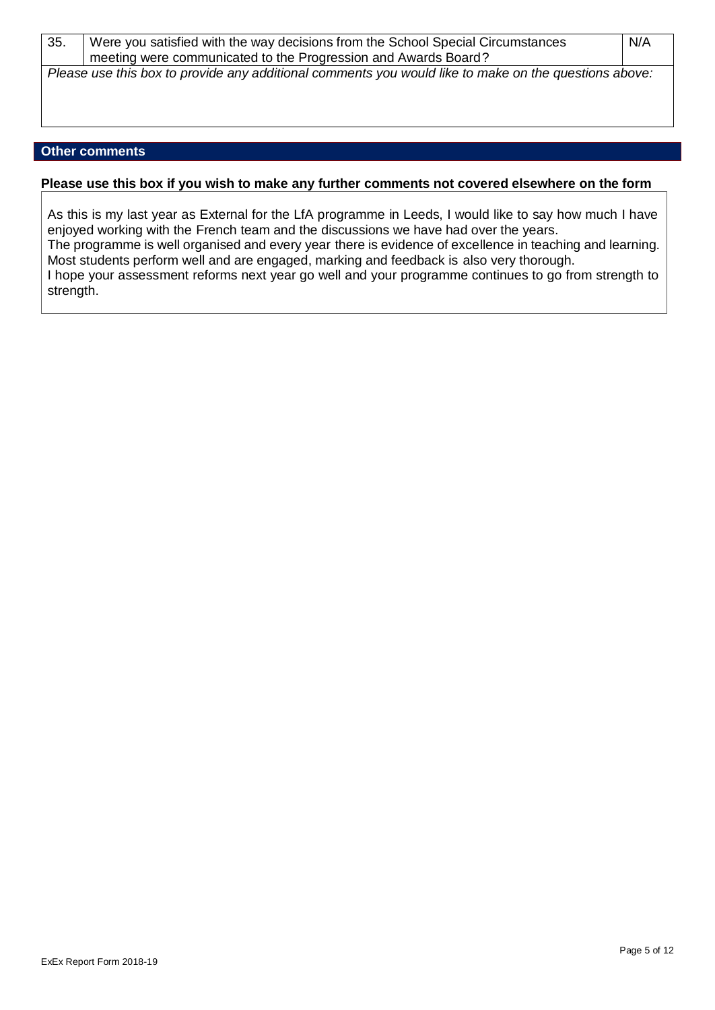| 35. | Were you satisfied with the way decisions from the School Special Circumstances                       | N/A |
|-----|-------------------------------------------------------------------------------------------------------|-----|
|     | meeting were communicated to the Progression and Awards Board?                                        |     |
|     | Please use this box to provide any additional comments you would like to make on the questions above: |     |

# **Other comments**

#### **Please use this box if you wish to make any further comments not covered elsewhere on the form**

As this is my last year as External for the LfA programme in Leeds, I would like to say how much I have enjoyed working with the French team and the discussions we have had over the years. The programme is well organised and every year there is evidence of excellence in teaching and learning. Most students perform well and are engaged, marking and feedback is also very thorough. I hope your assessment reforms next year go well and your programme continues to go from strength to strength.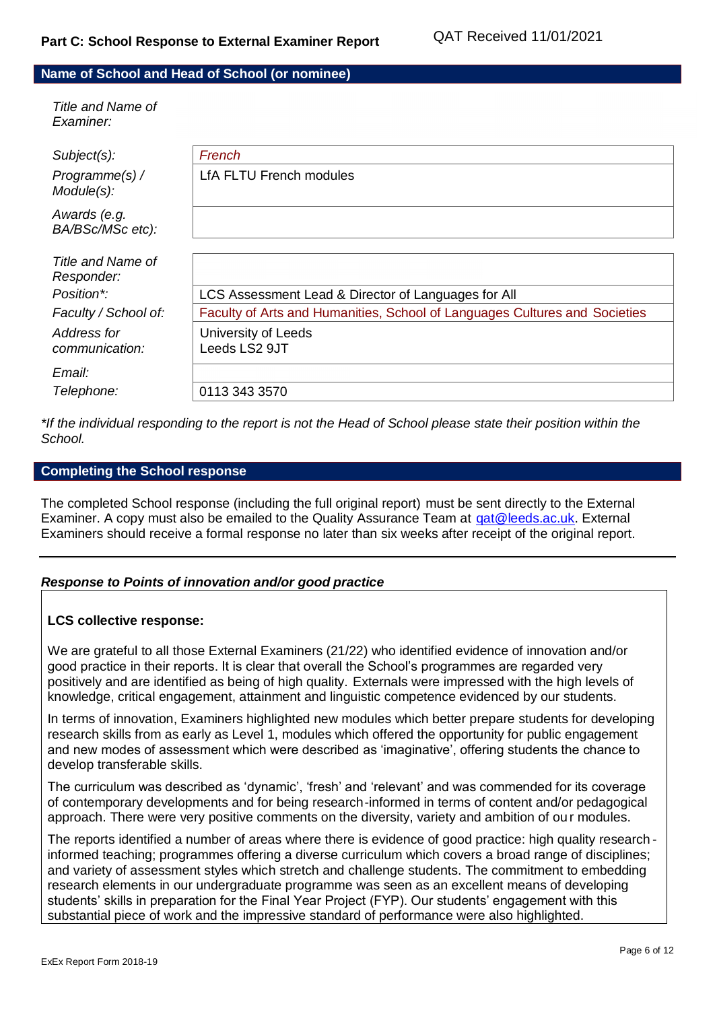# **Name of School and Head of School (or nominee)**

| Title and Name of<br>Examiner:   |                                                                            |
|----------------------------------|----------------------------------------------------------------------------|
| Subject(s):                      | French                                                                     |
| Programme(s) /<br>Module(s):     | <b>LfA FLTU French modules</b>                                             |
| Awards (e.g.<br>BA/BSc/MSc etc): |                                                                            |
|                                  |                                                                            |
| Title and Name of<br>Responder:  |                                                                            |
| Position*:                       | LCS Assessment Lead & Director of Languages for All                        |
| Faculty / School of:             | Faculty of Arts and Humanities, School of Languages Cultures and Societies |
| Address for<br>communication:    | University of Leeds<br>Leeds LS2 9JT                                       |
| Email:                           |                                                                            |
| Telephone:                       | 0113 343 3570                                                              |
|                                  |                                                                            |

*\*If the individual responding to the report is not the Head of School please state their position within the School.*

#### **Completing the School response**

The completed School response (including the full original report) must be sent directly to the External Examiner. A copy must also be emailed to the Quality Assurance Team at [qat@leeds.ac.uk.](mailto:qat@leeds.ac.uk) External Examiners should receive a formal response no later than six weeks after receipt of the original report.

# *Response to Points of innovation and/or good practice*

#### **LCS collective response:**

We are grateful to all those External Examiners (21/22) who identified evidence of innovation and/or good practice in their reports. It is clear that overall the School's programmes are regarded very positively and are identified as being of high quality. Externals were impressed with the high levels of knowledge, critical engagement, attainment and linguistic competence evidenced by our students.

In terms of innovation, Examiners highlighted new modules which better prepare students for developing research skills from as early as Level 1, modules which offered the opportunity for public engagement and new modes of assessment which were described as 'imaginative', offering students the chance to develop transferable skills.

The curriculum was described as 'dynamic', 'fresh' and 'relevant' and was commended for its coverage of contemporary developments and for being research-informed in terms of content and/or pedagogical approach. There were very positive comments on the diversity, variety and ambition of ou r modules.

The reports identified a number of areas where there is evidence of good practice: high quality research informed teaching; programmes offering a diverse curriculum which covers a broad range of disciplines; and variety of assessment styles which stretch and challenge students. The commitment to embedding research elements in our undergraduate programme was seen as an excellent means of developing students' skills in preparation for the Final Year Project (FYP). Our students' engagement with this substantial piece of work and the impressive standard of performance were also highlighted.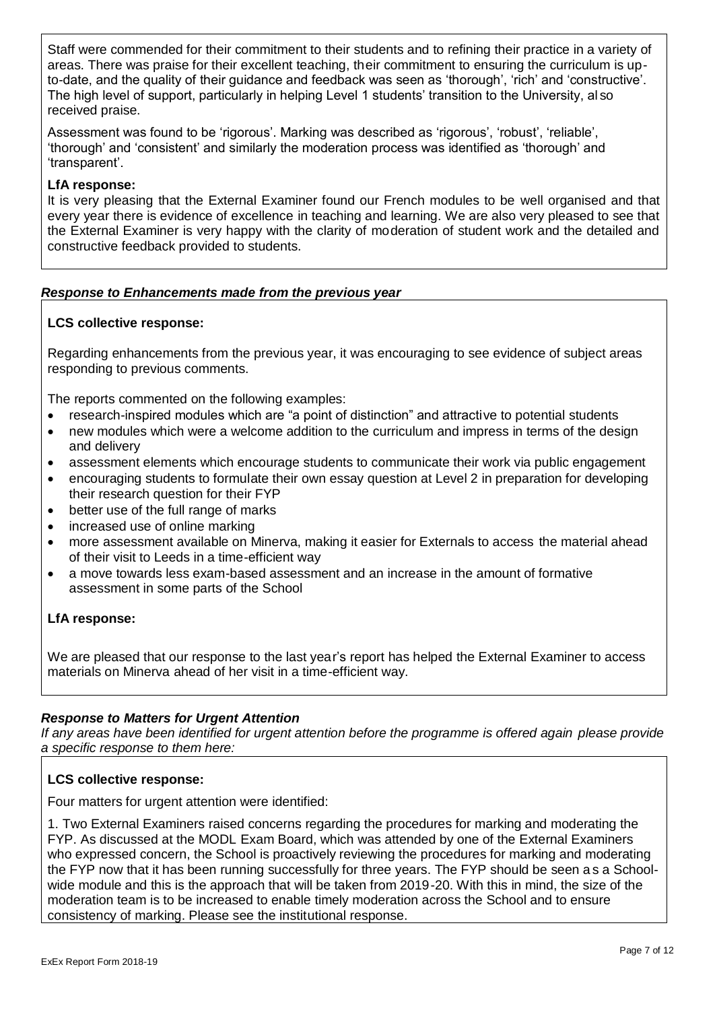Staff were commended for their commitment to their students and to refining their practice in a variety of areas. There was praise for their excellent teaching, their commitment to ensuring the curriculum is upto-date, and the quality of their guidance and feedback was seen as 'thorough', 'rich' and 'constructive'. The high level of support, particularly in helping Level 1 students' transition to the University, al so received praise.

Assessment was found to be 'rigorous'. Marking was described as 'rigorous', 'robust', 'reliable', 'thorough' and 'consistent' and similarly the moderation process was identified as 'thorough' and 'transparent'.

# **LfA response:**

It is very pleasing that the External Examiner found our French modules to be well organised and that every year there is evidence of excellence in teaching and learning. We are also very pleased to see that the External Examiner is very happy with the clarity of moderation of student work and the detailed and constructive feedback provided to students.

# *Response to Enhancements made from the previous year*

# **LCS collective response:**

Regarding enhancements from the previous year, it was encouraging to see evidence of subject areas responding to previous comments.

The reports commented on the following examples:

- research-inspired modules which are "a point of distinction" and attractive to potential students
- new modules which were a welcome addition to the curriculum and impress in terms of the design and delivery
- assessment elements which encourage students to communicate their work via public engagement
- encouraging students to formulate their own essay question at Level 2 in preparation for developing their research question for their FYP
- better use of the full range of marks
- increased use of online marking
- more assessment available on Minerva, making it easier for Externals to access the material ahead of their visit to Leeds in a time-efficient way
- a move towards less exam-based assessment and an increase in the amount of formative assessment in some parts of the School

# **LfA response:**

We are pleased that our response to the last year's report has helped the External Examiner to access materials on Minerva ahead of her visit in a time-efficient way.

# *Response to Matters for Urgent Attention*

*If any areas have been identified for urgent attention before the programme is offered again please provide a specific response to them here:*

# **LCS collective response:**

Four matters for urgent attention were identified:

1. Two External Examiners raised concerns regarding the procedures for marking and moderating the FYP. As discussed at the MODL Exam Board, which was attended by one of the External Examiners who expressed concern, the School is proactively reviewing the procedures for marking and moderating the FYP now that it has been running successfully for three years. The FYP should be seen a s a Schoolwide module and this is the approach that will be taken from 2019-20. With this in mind, the size of the moderation team is to be increased to enable timely moderation across the School and to ensure consistency of marking. Please see the institutional response.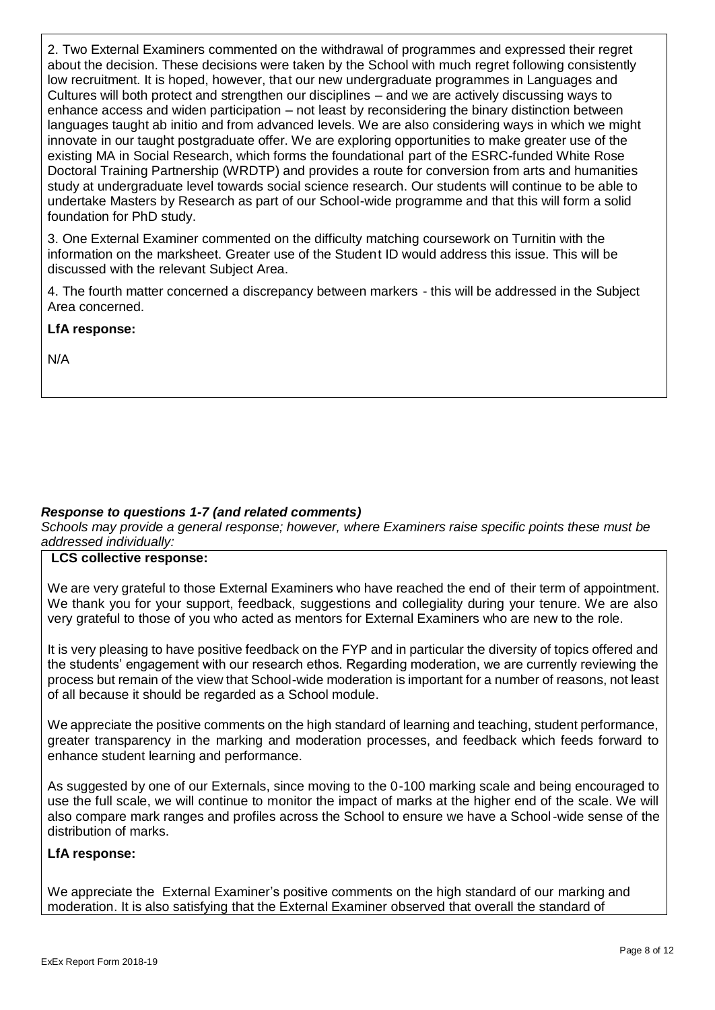2. Two External Examiners commented on the withdrawal of programmes and expressed their regret about the decision. These decisions were taken by the School with much regret following consistently low recruitment. It is hoped, however, that our new undergraduate programmes in Languages and Cultures will both protect and strengthen our disciplines – and we are actively discussing ways to enhance access and widen participation – not least by reconsidering the binary distinction between languages taught ab initio and from advanced levels. We are also considering ways in which we might innovate in our taught postgraduate offer. We are exploring opportunities to make greater use of the existing MA in Social Research, which forms the foundational part of the ESRC-funded White Rose Doctoral Training Partnership (WRDTP) and provides a route for conversion from arts and humanities study at undergraduate level towards social science research. Our students will continue to be able to undertake Masters by Research as part of our School-wide programme and that this will form a solid foundation for PhD study.

3. One External Examiner commented on the difficulty matching coursework on Turnitin with the information on the marksheet. Greater use of the Student ID would address this issue. This will be discussed with the relevant Subject Area.

4. The fourth matter concerned a discrepancy between markers - this will be addressed in the Subject Area concerned.

# **LfA response:**

N/A

# *Response to questions 1-7 (and related comments)*

*Schools may provide a general response; however, where Examiners raise specific points these must be addressed individually:*

# **LCS collective response:**

We are very grateful to those External Examiners who have reached the end of their term of appointment. We thank you for your support, feedback, suggestions and collegiality during your tenure. We are also very grateful to those of you who acted as mentors for External Examiners who are new to the role.

It is very pleasing to have positive feedback on the FYP and in particular the diversity of topics offered and the students' engagement with our research ethos. Regarding moderation, we are currently reviewing the process but remain of the view that School-wide moderation is important for a number of reasons, not least of all because it should be regarded as a School module.

We appreciate the positive comments on the high standard of learning and teaching, student performance, greater transparency in the marking and moderation processes, and feedback which feeds forward to enhance student learning and performance.

As suggested by one of our Externals, since moving to the 0-100 marking scale and being encouraged to use the full scale, we will continue to monitor the impact of marks at the higher end of the scale. We will also compare mark ranges and profiles across the School to ensure we have a School-wide sense of the distribution of marks.

# **LfA response:**

We appreciate the External Examiner's positive comments on the high standard of our marking and moderation. It is also satisfying that the External Examiner observed that overall the standard of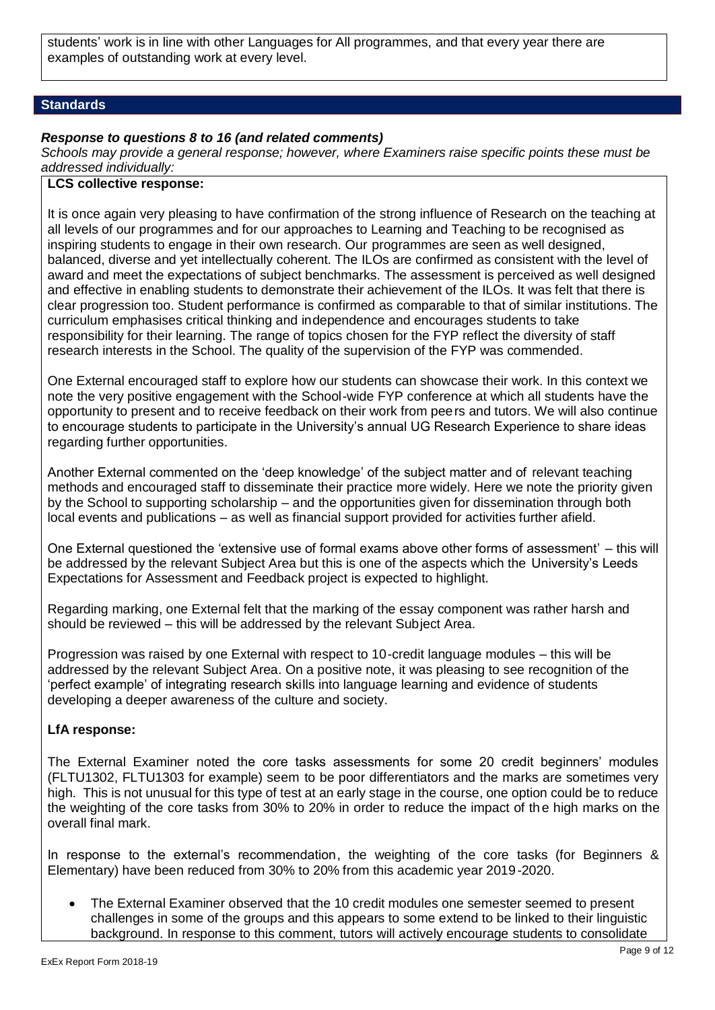students' work is in line with other Languages for All programmes, and that every year there are examples of outstanding work at every level.

#### **Standards**

#### *Response to questions 8 to 16 (and related comments)*

*Schools may provide a general response; however, where Examiners raise specific points these must be addressed individually:*

# **LCS collective response:**

It is once again very pleasing to have confirmation of the strong influence of Research on the teaching at all levels of our programmes and for our approaches to Learning and Teaching to be recognised as inspiring students to engage in their own research. Our programmes are seen as well designed, balanced, diverse and yet intellectually coherent. The ILOs are confirmed as consistent with the level of award and meet the expectations of subject benchmarks. The assessment is perceived as well designed and effective in enabling students to demonstrate their achievement of the ILOs. It was felt that there is clear progression too. Student performance is confirmed as comparable to that of similar institutions. The curriculum emphasises critical thinking and independence and encourages students to take responsibility for their learning. The range of topics chosen for the FYP reflect the diversity of staff research interests in the School. The quality of the supervision of the FYP was commended.

One External encouraged staff to explore how our students can showcase their work. In this context we note the very positive engagement with the School-wide FYP conference at which all students have the opportunity to present and to receive feedback on their work from peers and tutors. We will also continue to encourage students to participate in the University's annual UG Research Experience to share ideas regarding further opportunities.

Another External commented on the 'deep knowledge' of the subject matter and of relevant teaching methods and encouraged staff to disseminate their practice more widely. Here we note the priority given by the School to supporting scholarship – and the opportunities given for dissemination through both local events and publications – as well as financial support provided for activities further afield.

One External questioned the 'extensive use of formal exams above other forms of assessment' – this will be addressed by the relevant Subject Area but this is one of the aspects which the University's Leeds Expectations for Assessment and Feedback project is expected to highlight.

Regarding marking, one External felt that the marking of the essay component was rather harsh and should be reviewed – this will be addressed by the relevant Subject Area.

Progression was raised by one External with respect to 10-credit language modules – this will be addressed by the relevant Subject Area. On a positive note, it was pleasing to see recognition of the 'perfect example' of integrating research skills into language learning and evidence of students developing a deeper awareness of the culture and society.

# **LfA response:**

The External Examiner noted the core tasks assessments for some 20 credit beginners' modules (FLTU1302, FLTU1303 for example) seem to be poor differentiators and the marks are sometimes very high. This is not unusual for this type of test at an early stage in the course, one option could be to reduce the weighting of the core tasks from 30% to 20% in order to reduce the impact of th e high marks on the overall final mark.

In response to the external's recommendation, the weighting of the core tasks (for Beginners & Elementary) have been reduced from 30% to 20% from this academic year 2019-2020.

 The External Examiner observed that the 10 credit modules one semester seemed to present challenges in some of the groups and this appears to some extend to be linked to their linguistic background. In response to this comment, tutors will actively encourage students to consolidate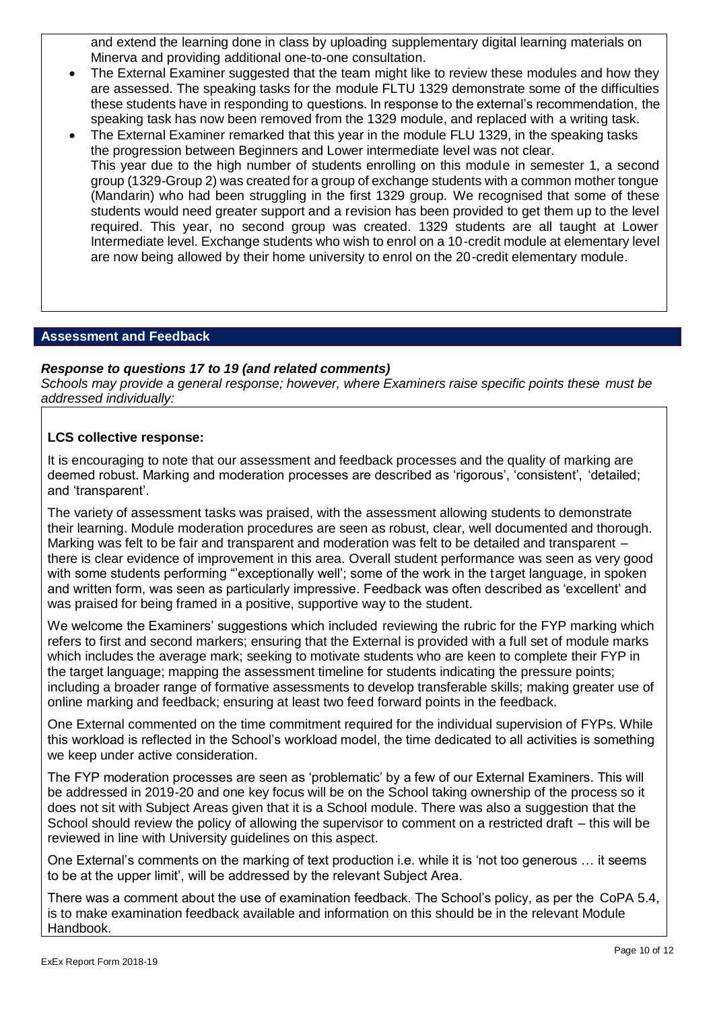and extend the learning done in class by uploading supplementary digital learning materials on Minerva and providing additional one-to-one consultation.

- The External Examiner suggested that the team might like to review these modules and how they are assessed. The speaking tasks for the module FLTU 1329 demonstrate some of the difficulties these students have in responding to questions. In response to the external's recommendation, the speaking task has now been removed from the 1329 module, and replaced with a writing task.
- The External Examiner remarked that this year in the module FLU 1329, in the speaking tasks the progression between Beginners and Lower intermediate level was not clear. This year due to the high number of students enrolling on this module in semester 1, a second group (1329-Group 2) was created for a group of exchange students with a common mother tongue (Mandarin) who had been struggling in the first 1329 group. We recognised that some of these students would need greater support and a revision has been provided to get them up to the level required. This year, no second group was created. 1329 students are all taught at Lower Intermediate level. Exchange students who wish to enrol on a 10-credit module at elementary level are now being allowed by their home university to enrol on the 20-credit elementary module.

#### **Assessment and Feedback**

#### *Response to questions 17 to 19 (and related comments)*

*Schools may provide a general response; however, where Examiners raise specific points these must be addressed individually:*

#### **LCS collective response:**

It is encouraging to note that our assessment and feedback processes and the quality of marking are deemed robust. Marking and moderation processes are described as 'rigorous', 'consistent', 'detailed; and 'transparent'.

The variety of assessment tasks was praised, with the assessment allowing students to demonstrate their learning. Module moderation procedures are seen as robust, clear, well documented and thorough. Marking was felt to be fair and transparent and moderation was felt to be detailed and transparent – there is clear evidence of improvement in this area. Overall student performance was seen as very good with some students performing "exceptionally well'; some of the work in the target language, in spoken and written form, was seen as particularly impressive. Feedback was often described as 'excellent' and was praised for being framed in a positive, supportive way to the student.

We welcome the Examiners' suggestions which included reviewing the rubric for the FYP marking which refers to first and second markers; ensuring that the External is provided with a full set of module marks which includes the average mark; seeking to motivate students who are keen to complete their FYP in the target language; mapping the assessment timeline for students indicating the pressure points; including a broader range of formative assessments to develop transferable skills; making greater use of online marking and feedback; ensuring at least two feed forward points in the feedback.

One External commented on the time commitment required for the individual supervision of FYPs. While this workload is reflected in the School's workload model, the time dedicated to all activities is something we keep under active consideration.

The FYP moderation processes are seen as 'problematic' by a few of our External Examiners. This will be addressed in 2019-20 and one key focus will be on the School taking ownership of the process so it does not sit with Subject Areas given that it is a School module. There was also a suggestion that the School should review the policy of allowing the supervisor to comment on a restricted draft – this will be reviewed in line with University guidelines on this aspect.

One External's comments on the marking of text production i.e. while it is 'not too generous … it seems to be at the upper limit', will be addressed by the relevant Subject Area.

There was a comment about the use of examination feedback. The School's policy, as per the CoPA 5.4, is to make examination feedback available and information on this should be in the relevant Module Handbook.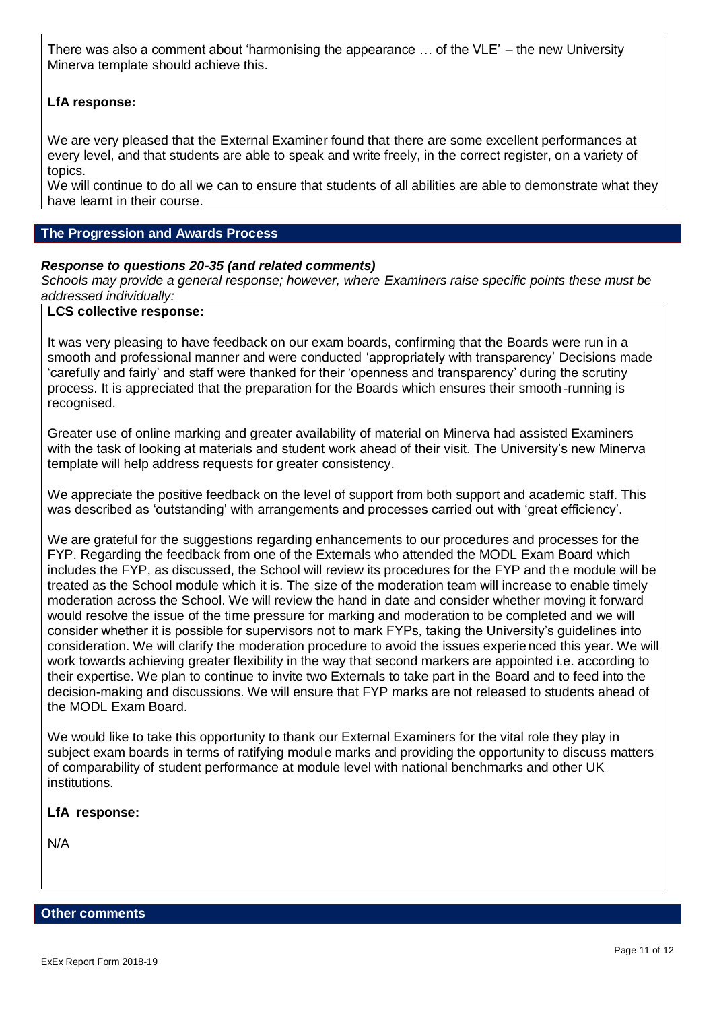There was also a comment about 'harmonising the appearance … of the VLE' – the new University Minerva template should achieve this.

# **LfA response:**

We are very pleased that the External Examiner found that there are some excellent performances at every level, and that students are able to speak and write freely, in the correct register, on a variety of topics.

We will continue to do all we can to ensure that students of all abilities are able to demonstrate what they have learnt in their course.

#### **The Progression and Awards Process**

# *Response to questions 20-35 (and related comments)*

*Schools may provide a general response; however, where Examiners raise specific points these must be addressed individually:*

#### **LCS collective response:**

It was very pleasing to have feedback on our exam boards, confirming that the Boards were run in a smooth and professional manner and were conducted 'appropriately with transparency' Decisions made 'carefully and fairly' and staff were thanked for their 'openness and transparency' during the scrutiny process. It is appreciated that the preparation for the Boards which ensures their smooth-running is recognised.

Greater use of online marking and greater availability of material on Minerva had assisted Examiners with the task of looking at materials and student work ahead of their visit. The University's new Minerva template will help address requests for greater consistency.

We appreciate the positive feedback on the level of support from both support and academic staff. This was described as 'outstanding' with arrangements and processes carried out with 'great efficiency'.

We are grateful for the suggestions regarding enhancements to our procedures and processes for the FYP. Regarding the feedback from one of the Externals who attended the MODL Exam Board which includes the FYP, as discussed, the School will review its procedures for the FYP and the module will be treated as the School module which it is. The size of the moderation team will increase to enable timely moderation across the School. We will review the hand in date and consider whether moving it forward would resolve the issue of the time pressure for marking and moderation to be completed and we will consider whether it is possible for supervisors not to mark FYPs, taking the University's guidelines into consideration. We will clarify the moderation procedure to avoid the issues experienced this year. We will work towards achieving greater flexibility in the way that second markers are appointed i.e. according to their expertise. We plan to continue to invite two Externals to take part in the Board and to feed into the decision-making and discussions. We will ensure that FYP marks are not released to students ahead of the MODL Exam Board.

We would like to take this opportunity to thank our External Examiners for the vital role they play in subject exam boards in terms of ratifying module marks and providing the opportunity to discuss matters of comparability of student performance at module level with national benchmarks and other UK institutions.

# **LfA response:**

N/A